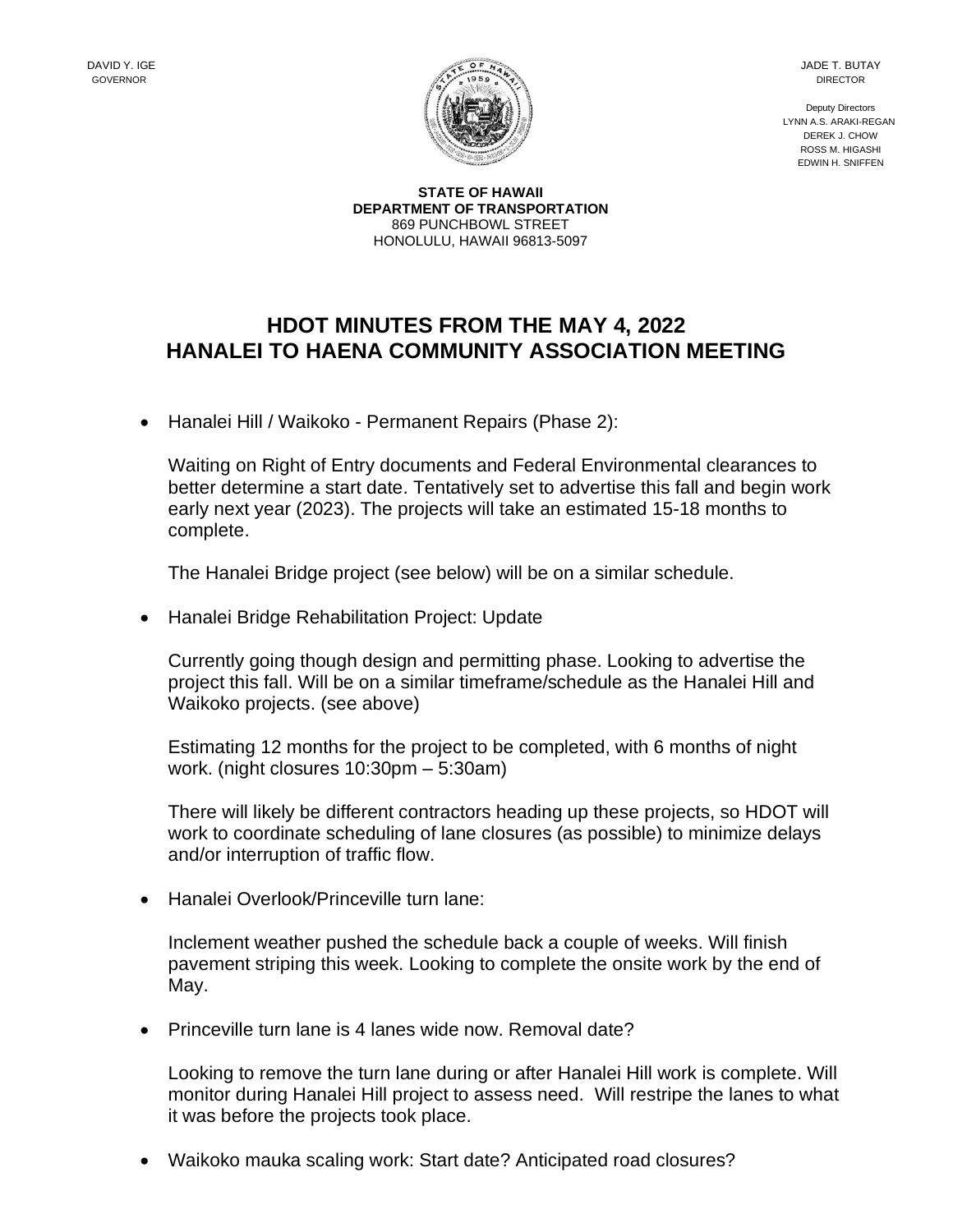JADE T. BUTAY DIRECTOR

Deputy Directors LYNN A.S. ARAKI-REGAN DEREK J. CHOW ROSS M. HIGASHI EDWIN H. SNIFFEN

**STATE OF HAWAII DEPARTMENT OF TRANSPORTATION** 869 PUNCHBOWL STREET HONOLULU, HAWAII 96813-5097

## **HDOT MINUTES FROM THE MAY 4, 2022 HANALEI TO HAENA COMMUNITY ASSOCIATION MEETING**

• Hanalei Hill / Waikoko - Permanent Repairs (Phase 2):

Waiting on Right of Entry documents and Federal Environmental clearances to better determine a start date. Tentatively set to advertise this fall and begin work early next year (2023). The projects will take an estimated 15-18 months to complete.

The Hanalei Bridge project (see below) will be on a similar schedule.

• Hanalei Bridge Rehabilitation Project: Update

Currently going though design and permitting phase. Looking to advertise the project this fall. Will be on a similar timeframe/schedule as the Hanalei Hill and Waikoko projects. (see above)

Estimating 12 months for the project to be completed, with 6 months of night work. (night closures 10:30pm – 5:30am)

There will likely be different contractors heading up these projects, so HDOT will work to coordinate scheduling of lane closures (as possible) to minimize delays and/or interruption of traffic flow.

• Hanalei Overlook/Princeville turn lane:

Inclement weather pushed the schedule back a couple of weeks. Will finish pavement striping this week. Looking to complete the onsite work by the end of May.

• Princeville turn lane is 4 lanes wide now. Removal date?

Looking to remove the turn lane during or after Hanalei Hill work is complete. Will monitor during Hanalei Hill project to assess need. Will restripe the lanes to what it was before the projects took place.

• Waikoko mauka scaling work: Start date? Anticipated road closures?